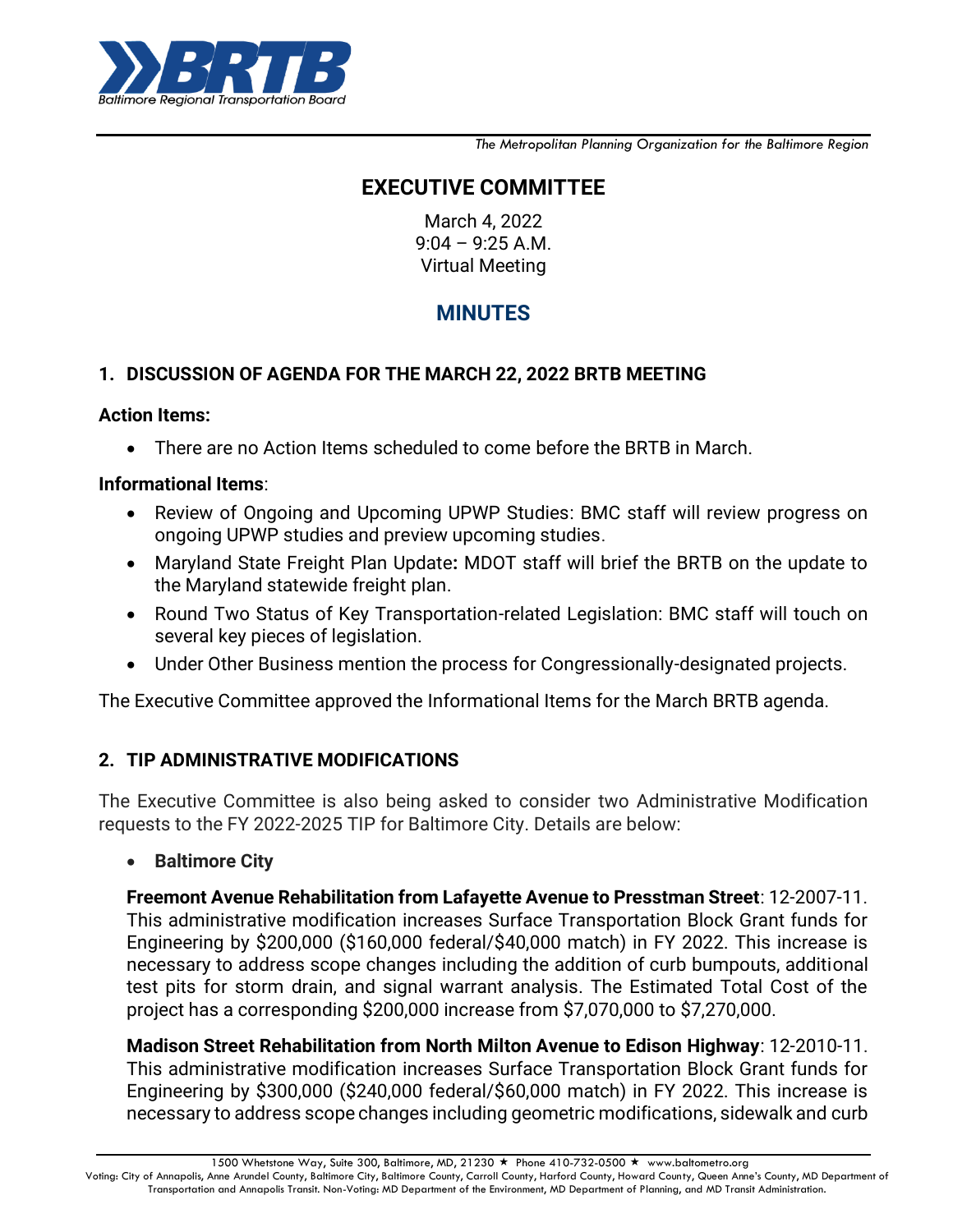

*The Metropolitan Planning Organization for the Baltimore Region*

# **EXECUTIVE COMMITTEE**

March 4, 2022 9:04 – 9:25 A.M. Virtual Meeting

# **MINUTES**

## **1. DISCUSSION OF AGENDA FOR THE MARCH 22, 2022 BRTB MEETING**

#### **Action Items:**

There are no Action Items scheduled to come before the BRTB in March.

#### **Informational Items**:

- Review of Ongoing and Upcoming UPWP Studies: BMC staff will review progress on ongoing UPWP studies and preview upcoming studies.
- Maryland State Freight Plan Update**:** MDOT staff will brief the BRTB on the update to the Maryland statewide freight plan.
- Round Two Status of Key Transportation-related Legislation: BMC staff will touch on several key pieces of legislation.
- Under Other Business mention the process for Congressionally-designated projects.

The Executive Committee approved the Informational Items for the March BRTB agenda.

## **2. TIP ADMINISTRATIVE MODIFICATIONS**

The Executive Committee is also being asked to consider two Administrative Modification requests to the FY 2022-2025 TIP for Baltimore City. Details are below:

#### **•** Baltimore City

**Freemont Avenue Rehabilitation from Lafayette Avenue to Presstman Street**: 12-2007-11. This administrative modification increases Surface Transportation Block Grant funds for Engineering by \$200,000 (\$160,000 federal/\$40,000 match) in FY 2022. This increase is necessary to address scope changes including the addition of curb bumpouts, additional test pits for storm drain, and signal warrant analysis. The Estimated Total Cost of the project has a corresponding \$200,000 increase from \$7,070,000 to \$7,270,000.

**Madison Street Rehabilitation from North Milton Avenue to Edison Highway**: 12-2010-11. This administrative modification increases Surface Transportation Block Grant funds for Engineering by \$300,000 (\$240,000 federal/\$60,000 match) in FY 2022. This increase is necessary to address scope changes including geometric modifications, sidewalk and curb

1500 Whetstone Way, Suite 300, Baltimore, MD, 21230 ★ Phone 410-732-0500 ★ www.baltometro.org

Voting: City of Annapolis, Anne Arundel County, Baltimore City, Baltimore County, Carroll County, Harford County, Howard County, Queen Anne's County, MD Department of Transportation and Annapolis Transit. Non-Voting: MD Department of the Environment, MD Department of Planning, and MD Transit Administration.